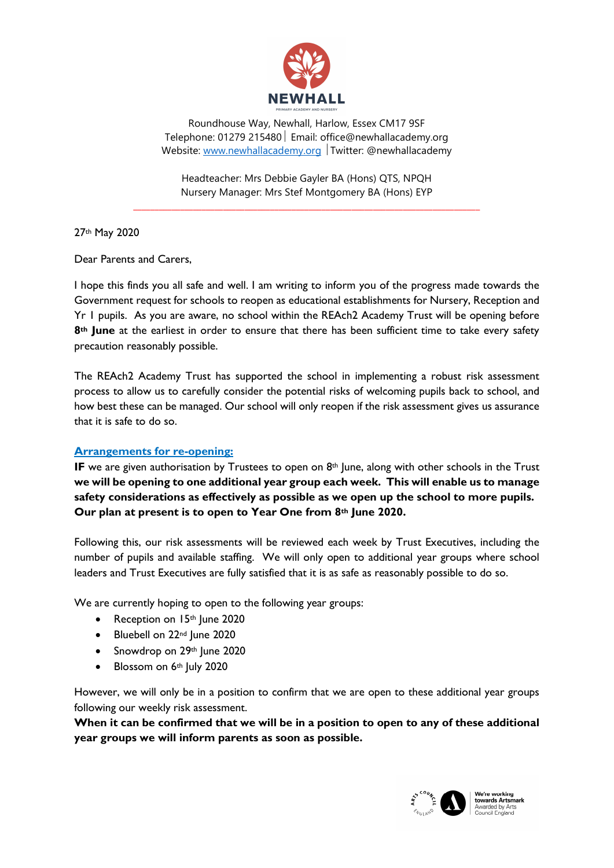

Roundhouse Way, Newhall, Harlow, Essex CM17 9SF Telephone: 01279 215480 | Email: office@newhallacademy.org Website: www.newhallacademy.org Twitter: @newhallacademy

Headteacher: Mrs Debbie Gayler BA (Hons) QTS, NPQH Nursery Manager: Mrs Stef Montgomery BA (Hons) EYP

\_\_\_\_\_\_\_\_\_\_\_\_\_\_\_\_\_\_\_\_\_\_\_\_\_\_\_\_\_\_\_\_\_\_\_\_\_\_\_\_\_\_\_\_\_\_\_\_\_\_\_\_\_\_\_\_\_\_\_\_\_\_\_\_\_\_\_\_\_\_\_\_\_\_\_\_\_\_\_\_\_

27th May 2020

Dear Parents and Carers,

I hope this finds you all safe and well. I am writing to inform you of the progress made towards the Government request for schools to reopen as educational establishments for Nursery, Reception and Yr 1 pupils. As you are aware, no school within the REAch2 Academy Trust will be opening before 8<sup>th</sup> June at the earliest in order to ensure that there has been sufficient time to take every safety precaution reasonably possible.

The REAch2 Academy Trust has supported the school in implementing a robust risk assessment process to allow us to carefully consider the potential risks of welcoming pupils back to school, and how best these can be managed. Our school will only reopen if the risk assessment gives us assurance that it is safe to do so.

## Arrangements for re-opening:

IF we are given authorisation by Trustees to open on  $8<sup>th</sup>$  June, along with other schools in the Trust we will be opening to one additional year group each week. This will enable us to manage safety considerations as effectively as possible as we open up the school to more pupils. Our plan at present is to open to Year One from 8th June 2020.

Following this, our risk assessments will be reviewed each week by Trust Executives, including the number of pupils and available staffing. We will only open to additional year groups where school leaders and Trust Executives are fully satisfied that it is as safe as reasonably possible to do so.

We are currently hoping to open to the following year groups:

- Reception on 15th June 2020
- Bluebell on 22nd June 2020
- Snowdrop on 29th June 2020
- $\bullet$  Blossom on 6th July 2020

However, we will only be in a position to confirm that we are open to these additional year groups following our weekly risk assessment.

When it can be confirmed that we will be in a position to open to any of these additional year groups we will inform parents as soon as possible.



**the re working<br>towards Artsmark**<br>Awarded by Arts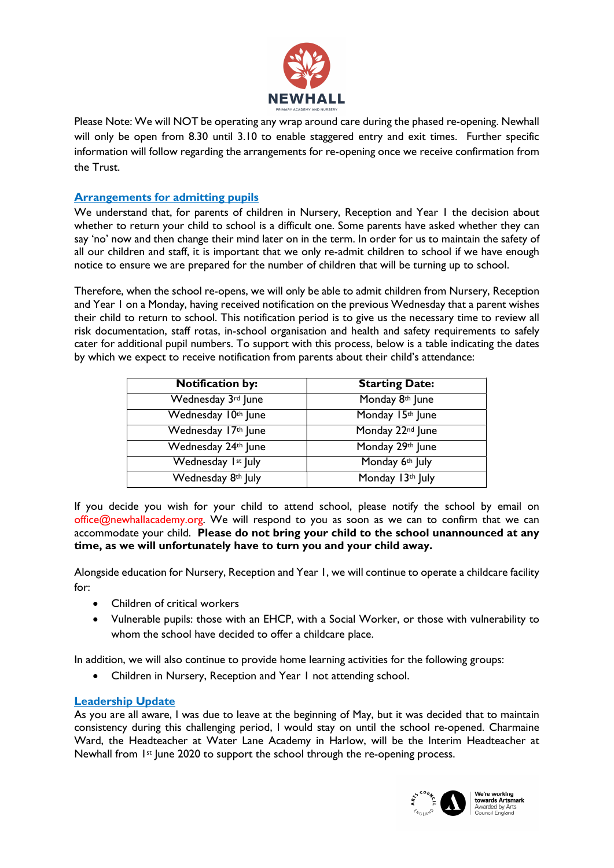

Please Note: We will NOT be operating any wrap around care during the phased re-opening. Newhall will only be open from 8.30 until 3.10 to enable staggered entry and exit times. Further specific information will follow regarding the arrangements for re-opening once we receive confirmation from the Trust.

## Arrangements for admitting pupils

We understand that, for parents of children in Nursery, Reception and Year 1 the decision about whether to return your child to school is a difficult one. Some parents have asked whether they can say 'no' now and then change their mind later on in the term. In order for us to maintain the safety of all our children and staff, it is important that we only re-admit children to school if we have enough notice to ensure we are prepared for the number of children that will be turning up to school.

Therefore, when the school re-opens, we will only be able to admit children from Nursery, Reception and Year 1 on a Monday, having received notification on the previous Wednesday that a parent wishes their child to return to school. This notification period is to give us the necessary time to review all risk documentation, staff rotas, in-school organisation and health and safety requirements to safely cater for additional pupil numbers. To support with this process, below is a table indicating the dates by which we expect to receive notification from parents about their child's attendance:

| <b>Notification by:</b> | <b>Starting Date:</b>        |
|-------------------------|------------------------------|
| Wednesday 3rd June      | Monday 8th June              |
| Wednesday 10th June     | Monday 15th June             |
| Wednesday 17th June     | Monday 22 <sup>nd</sup> June |
| Wednesday 24th June     | Monday 29th June             |
| Wednesday Ist July      | Monday 6th July              |
| Wednesday 8th July      | Monday 13th July             |

If you decide you wish for your child to attend school, please notify the school by email on office@newhallacademy.org. We will respond to you as soon as we can to confirm that we can accommodate your child. Please do not bring your child to the school unannounced at any time, as we will unfortunately have to turn you and your child away.

Alongside education for Nursery, Reception and Year 1, we will continue to operate a childcare facility for:

- Children of critical workers
- Vulnerable pupils: those with an EHCP, with a Social Worker, or those with vulnerability to whom the school have decided to offer a childcare place.

In addition, we will also continue to provide home learning activities for the following groups:

Children in Nursery, Reception and Year 1 not attending school.

## Leadership Update

As you are all aware, I was due to leave at the beginning of May, but it was decided that to maintain consistency during this challenging period, I would stay on until the school re-opened. Charmaine Ward, the Headteacher at Water Lane Academy in Harlow, will be the Interim Headteacher at Newhall from 1st June 2020 to support the school through the re-opening process.



We're working **towards Artsmark**<br>Awarded by Arts<br>Council England